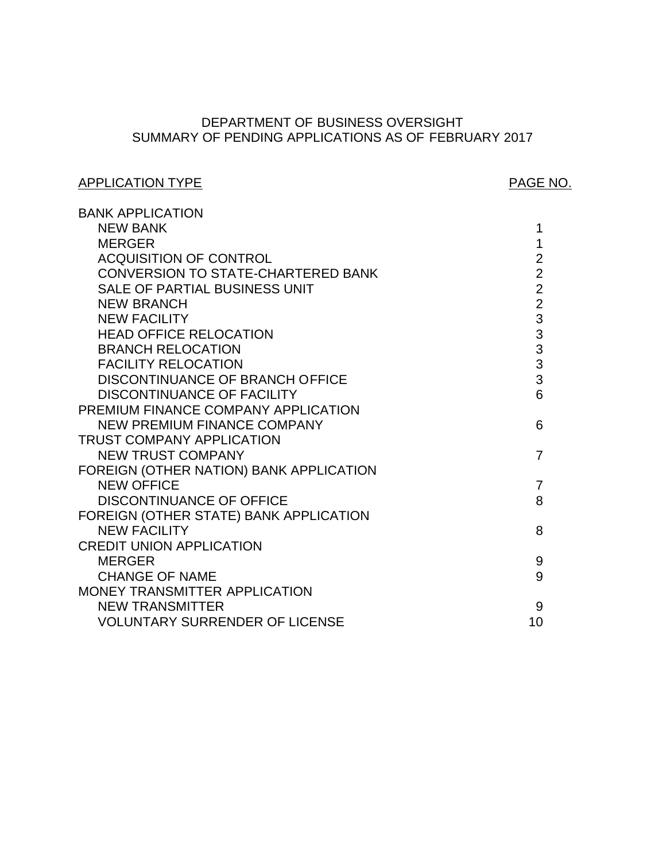# SUMMARY OF PENDING APPLICATIONS AS OF FEBRUARY 2017 DEPARTMENT OF BUSINESS OVERSIGHT

# APPLICATION TYPE APPLICATION TYPE

| <b>BANK APPLICATION</b>                 |                                            |
|-----------------------------------------|--------------------------------------------|
| <b>NEW BANK</b>                         | 1                                          |
| <b>MERGER</b>                           | 1                                          |
| <b>ACQUISITION OF CONTROL</b>           | $\overline{2}$                             |
| CONVERSION TO STATE-CHARTERED BANK      | $\overline{2}$                             |
| SALE OF PARTIAL BUSINESS UNIT           | $\overline{2}$                             |
| <b>NEW BRANCH</b>                       | $\overline{2}$                             |
| <b>NEW FACILITY</b>                     | 3                                          |
| <b>HEAD OFFICE RELOCATION</b>           |                                            |
| <b>BRANCH RELOCATION</b>                | $\begin{array}{c} 3 \\ 3 \\ 3 \end{array}$ |
| <b>FACILITY RELOCATION</b>              |                                            |
| DISCONTINUANCE OF BRANCH OFFICE         | 3                                          |
| <b>DISCONTINUANCE OF FACILITY</b>       | 6                                          |
| PREMIUM FINANCE COMPANY APPLICATION     |                                            |
| <b>NEW PREMIUM FINANCE COMPANY</b>      | 6                                          |
| <b>TRUST COMPANY APPLICATION</b>        |                                            |
| <b>NEW TRUST COMPANY</b>                | $\overline{7}$                             |
| FOREIGN (OTHER NATION) BANK APPLICATION |                                            |
| <b>NEW OFFICE</b>                       | 7                                          |
| <b>DISCONTINUANCE OF OFFICE</b>         | 8                                          |
| FOREIGN (OTHER STATE) BANK APPLICATION  |                                            |
| <b>NEW FACILITY</b>                     | 8                                          |
| <b>CREDIT UNION APPLICATION</b>         |                                            |
| <b>MERGER</b>                           | 9                                          |
| <b>CHANGE OF NAME</b>                   | 9                                          |
| MONEY TRANSMITTER APPLICATION           |                                            |
| <b>NEW TRANSMITTER</b>                  | 9                                          |
| <b>VOLUNTARY SURRENDER OF LICENSE</b>   | 10                                         |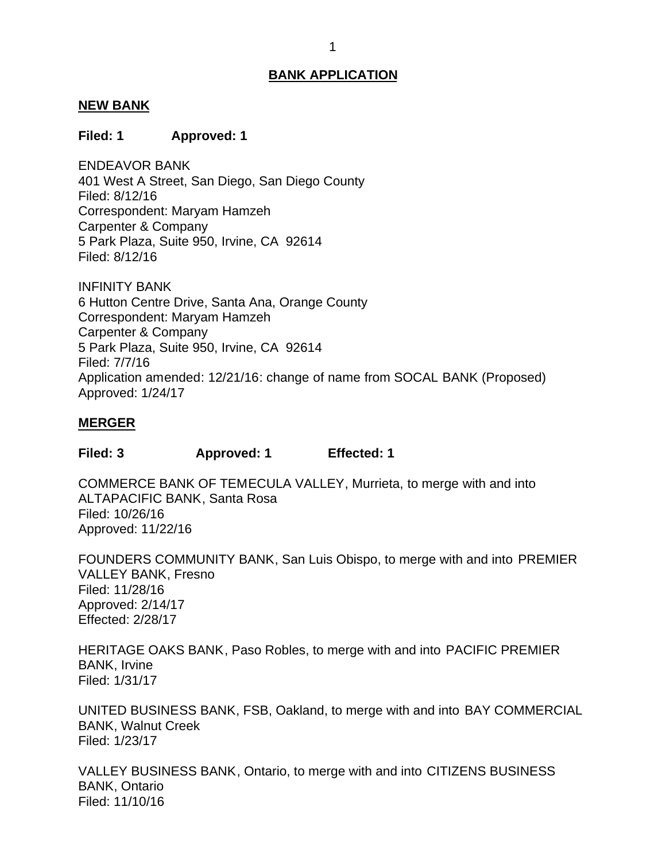#### <span id="page-1-0"></span>**NEW BANK**

### **Filed: 1 Approved: 1**

 401 West A Street, San Diego, San Diego County Correspondent: Maryam Hamzeh Carpenter & Company 5 Park Plaza, Suite 950, Irvine, CA 92614 ENDEAVOR BANK Filed: 8/12/16 Filed: 8/12/16

 6 Hutton Centre Drive, Santa Ana, Orange County Correspondent: Maryam Hamzeh Carpenter & Company 5 Park Plaza, Suite 950, Irvine, CA 92614 INFINITY BANK Filed: 7/7/16 Application amended: 12/21/16: change of name from SOCAL BANK (Proposed) Approved: 1/24/17

### **MERGER**

**Filed: 3 Approved: 1 Effected: 1** 

 COMMERCE BANK OF TEMECULA VALLEY, Murrieta, to merge with and into ALTAPACIFIC BANK, Santa Rosa Filed: 10/26/16 Approved: 11/22/16

 FOUNDERS COMMUNITY BANK, San Luis Obispo, to merge with and into PREMIER VALLEY BANK, Fresno Filed: 11/28/16 Approved: 2/14/17 Effected: 2/28/17

 HERITAGE OAKS BANK, Paso Robles, to merge with and into PACIFIC PREMIER BANK, Irvine Filed: 1/31/17

 UNITED BUSINESS BANK, FSB, Oakland, to merge with and into BAY COMMERCIAL BANK, Walnut Creek Filed: 1/23/17

 VALLEY BUSINESS BANK, Ontario, to merge with and into CITIZENS BUSINESS BANK, Ontario Filed: 11/10/16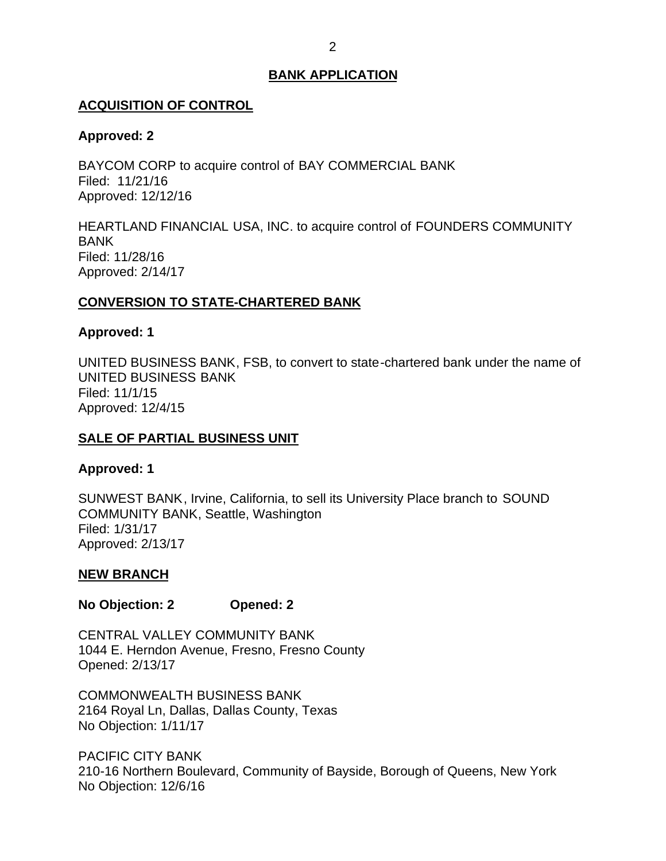## <span id="page-2-0"></span>**ACQUISITION OF CONTROL**

## **Approved: 2**

 BAYCOM CORP to acquire control of BAY COMMERCIAL BANK Filed: 11/21/16 Approved: 12/12/16

 HEARTLAND FINANCIAL USA, INC. to acquire control of FOUNDERS COMMUNITY BANK Filed: 11/28/16 Approved: 2/14/17

# **CONVERSION TO STATE-CHARTERED BANK**

## **Approved: 1**

 UNITED BUSINESS BANK, FSB, to convert to state-chartered bank under the name of UNITED BUSINESS BANK Filed: 11/1/15 Approved: 12/4/15

# **SALE OF PARTIAL BUSINESS UNIT**

# **Approved: 1**

 SUNWEST BANK, Irvine, California, to sell its University Place branch to SOUND COMMUNITY BANK, Seattle, Washington Filed: 1/31/17 Approved: 2/13/17

# **NEW BRANCH**

## **No Objection: 2 Opened: 2**

 CENTRAL VALLEY COMMUNITY BANK 1044 E. Herndon Avenue, Fresno, Fresno County Opened: 2/13/17

 2164 Royal Ln, Dallas, Dallas County, Texas No Objection: 1/11/17 COMMONWEALTH BUSINESS BANK

 210-16 Northern Boulevard, Community of Bayside, Borough of Queens, New York No Objection: 12/6/16 PACIFIC CITY BANK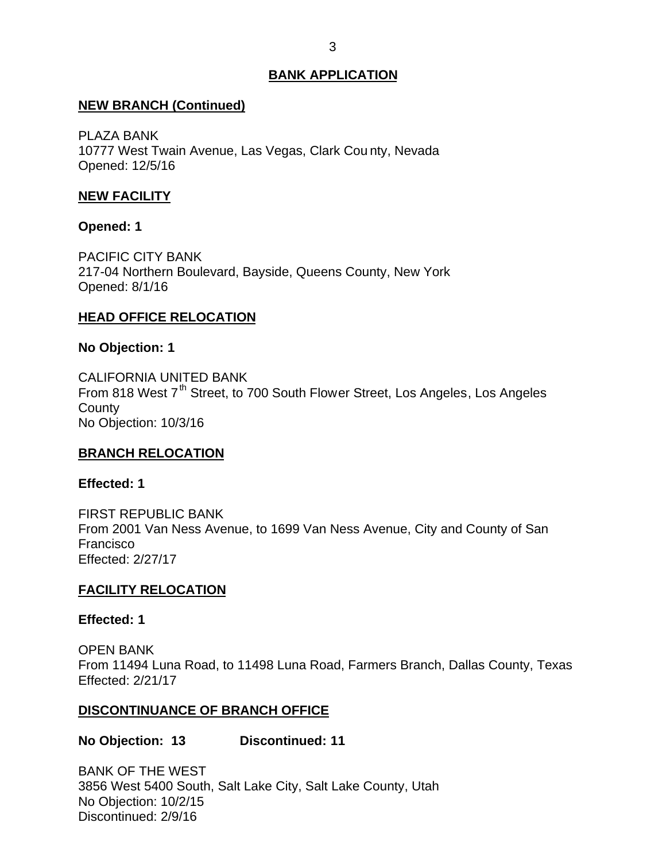## <span id="page-3-0"></span>**NEW BRANCH (Continued)**

 10777 West Twain Avenue, Las Vegas, Clark Cou nty, Nevada PLAZA BANK Opened: 12/5/16

# **NEW FACILITY**

## **Opened: 1**

 217-04 Northern Boulevard, Bayside, Queens County, New York PACIFIC CITY BANK Opened: 8/1/16

# **HEAD OFFICE RELOCATION**

## **No Objection: 1**

From 818 West 7<sup>th</sup> Street, to 700 South Flower Street, Los Angeles, Los Angeles No Objection: 10/3/16 CALIFORNIA UNITED BANK **County** 

## **BRANCH RELOCATION**

## **Effected: 1**

 From 2001 Van Ness Avenue, to 1699 Van Ness Avenue, City and County of San FIRST REPUBLIC BANK Francisco Effected: 2/27/17

## **FACILITY RELOCATION**

## **Effected: 1**

 From 11494 Luna Road, to 11498 Luna Road, Farmers Branch, Dallas County, Texas OPEN BANK Effected: 2/21/17

## **DISCONTINUANCE OF BRANCH OFFICE**

**No Objection: 13 Discontinued: 11** 

 BANK OF THE WEST 3856 West 5400 South, Salt Lake City, Salt Lake County, Utah No Objection: 10/2/15 Discontinued: 2/9/16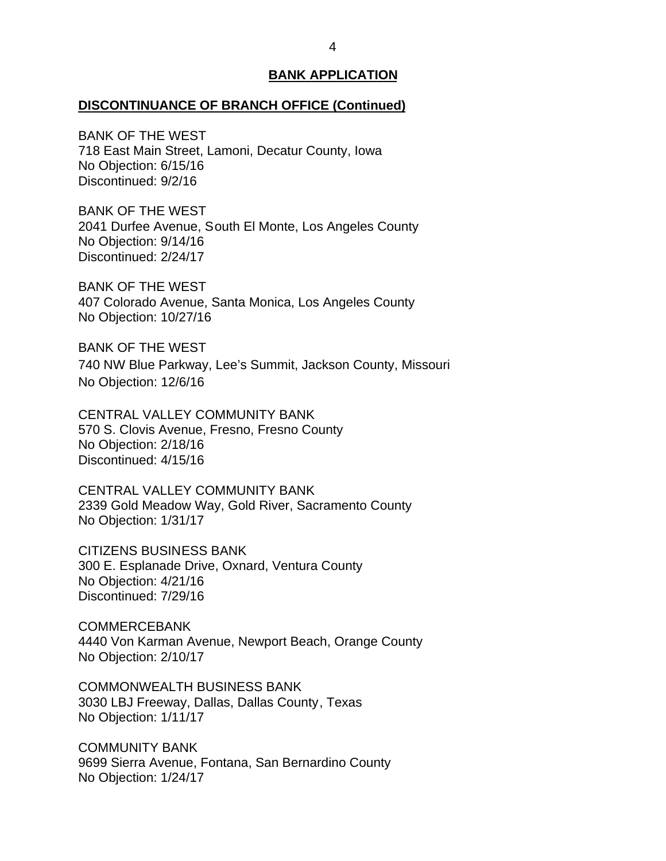# **DISCONTINUANCE OF BRANCH OFFICE (Continued)**

 BANK OF THE WEST 718 East Main Street, Lamoni, Decatur County, Iowa No Objection: 6/15/16 Discontinued: 9/2/16

 BANK OF THE WEST 2041 Durfee Avenue, South El Monte, Los Angeles County No Objection: 9/14/16 Discontinued: 2/24/17

 BANK OF THE WEST 407 Colorado Avenue, Santa Monica, Los Angeles County No Objection: 10/27/16

 BANK OF THE WEST 740 NW Blue Parkway, Lee's Summit, Jackson County, Missouri No Objection: 12/6/16

 CENTRAL VALLEY COMMUNITY BANK 570 S. Clovis Avenue, Fresno, Fresno County No Objection: 2/18/16 Discontinued: 4/15/16

 CENTRAL VALLEY COMMUNITY BANK 2339 Gold Meadow Way, Gold River, Sacramento County No Objection: 1/31/17

 300 E. Esplanade Drive, Oxnard, Ventura County No Objection: 4/21/16 CITIZENS BUSINESS BANK Discontinued: 7/29/16

 4440 Von Karman Avenue, Newport Beach, Orange County No Objection: 2/10/17 COMMERCEBANK

 3030 LBJ Freeway, Dallas, Dallas County, Texas No Objection: 1/11/17 COMMONWEALTH BUSINESS BANK

 9699 Sierra Avenue, Fontana, San Bernardino County No Objection: 1/24/17 COMMUNITY BANK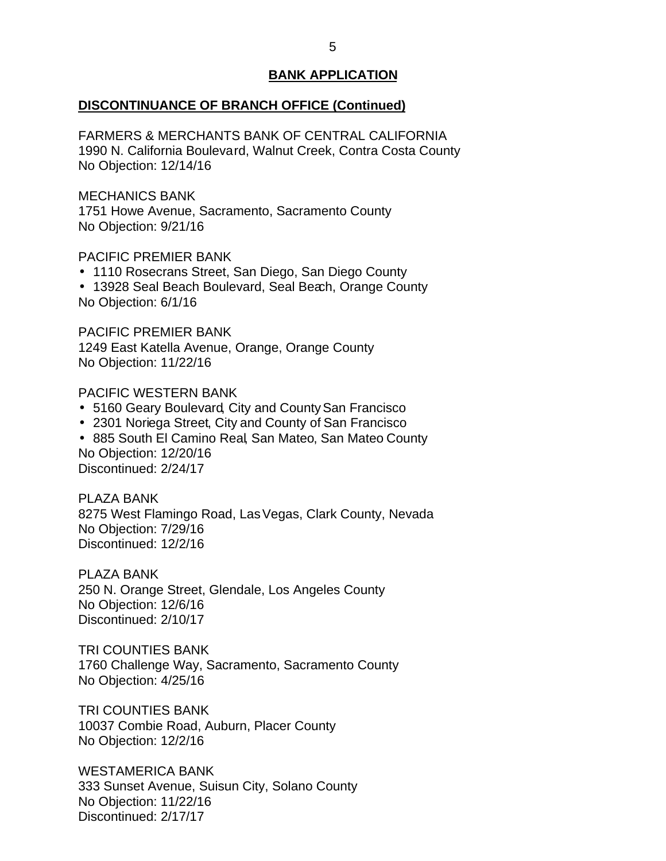## **DISCONTINUANCE OF BRANCH OFFICE (Continued)**

 FARMERS & MERCHANTS BANK OF CENTRAL CALIFORNIA 1990 N. California Boulevard, Walnut Creek, Contra Costa County No Objection: 12/14/16

MECHANICS BANK

 1751 Howe Avenue, Sacramento, Sacramento County No Objection: 9/21/16

PACIFIC PREMIER BANK

- 1110 Rosecrans Street, San Diego, San Diego County
- 13928 Seal Beach Boulevard, Seal Beach, Orange County No Objection: 6/1/16

 PACIFIC PREMIER BANK 1249 East Katella Avenue, Orange, Orange County No Objection: 11/22/16

## PACIFIC WESTERN BANK

- 5160 Geary Boulevard, City and County San Francisco
- 2301 Noriega Street, City and County of San Francisco
- 885 South El Camino Real, San Mateo, San Mateo County No Objection: 12/20/16 Discontinued: 2/24/17

 8275 West Flamingo Road, Las Vegas, Clark County, Nevada No Objection: 7/29/16 PI AZA BANK Discontinued: 12/2/16

 250 N. Orange Street, Glendale, Los Angeles County No Objection: 12/6/16 PLAZA BANK Discontinued: 2/10/17

 1760 Challenge Way, Sacramento, Sacramento County TRI COUNTIES BANK No Objection: 4/25/16

 10037 Combie Road, Auburn, Placer County No Objection: 12/2/16 TRI COUNTIES BANK

 333 Sunset Avenue, Suisun City, Solano County No Objection: 11/22/16 WESTAMERICA BANK Discontinued: 2/17/17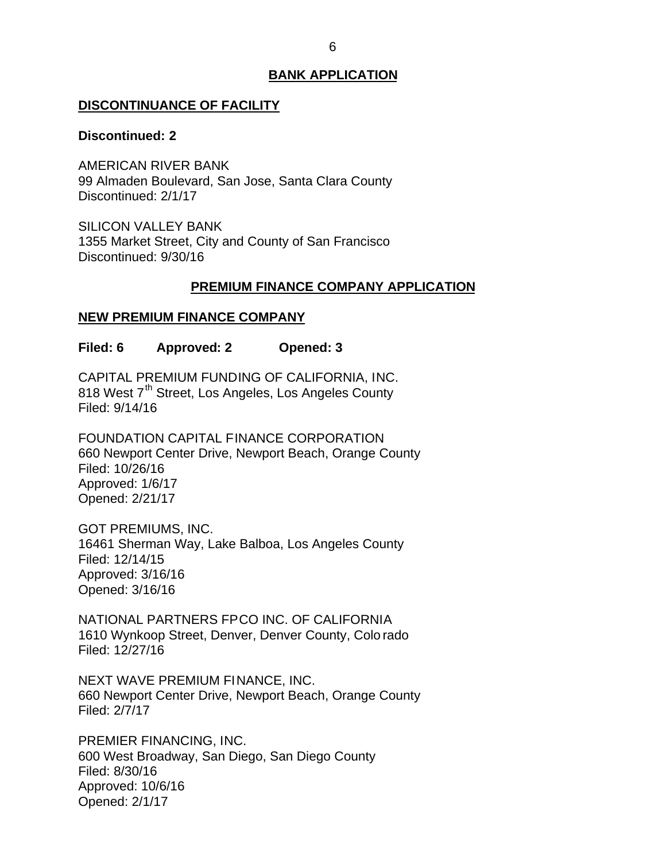#### <span id="page-6-0"></span>**DISCONTINUANCE OF FACILITY**

#### **Discontinued: 2**

 99 Almaden Boulevard, San Jose, Santa Clara County AMERICAN RIVER BANK Discontinued: 2/1/17

 1355 Market Street, City and County of San Francisco SILICON VALLEY BANK Discontinued: 9/30/16

# **PREMIUM FINANCE COMPANY APPLICATION**

# **NEW PREMIUM FINANCE COMPANY**

**Filed: 6 Approved: 2 Opened: 3** 

 CAPITAL PREMIUM FUNDING OF CALIFORNIA, INC. 818 West 7<sup>th</sup> Street, Los Angeles, Los Angeles County Filed: 9/14/16

 660 Newport Center Drive, Newport Beach, Orange County FOUNDATION CAPITAL FINANCE CORPORATION Filed: 10/26/16 Approved: 1/6/17 Opened: 2/21/17

 16461 Sherman Way, Lake Balboa, Los Angeles County GOT PREMIUMS, INC. Filed: 12/14/15 Approved: 3/16/16 Opened: 3/16/16

 NATIONAL PARTNERS FPCO INC. OF CALIFORNIA 1610 Wynkoop Street, Denver, Denver County, Colo rado Filed: 12/27/16

 NEXT WAVE PREMIUM FINANCE, INC. 660 Newport Center Drive, Newport Beach, Orange County Filed: 2/7/17

 600 West Broadway, San Diego, San Diego County PREMIER FINANCING, INC. Filed: 8/30/16 Approved: 10/6/16 Opened: 2/1/17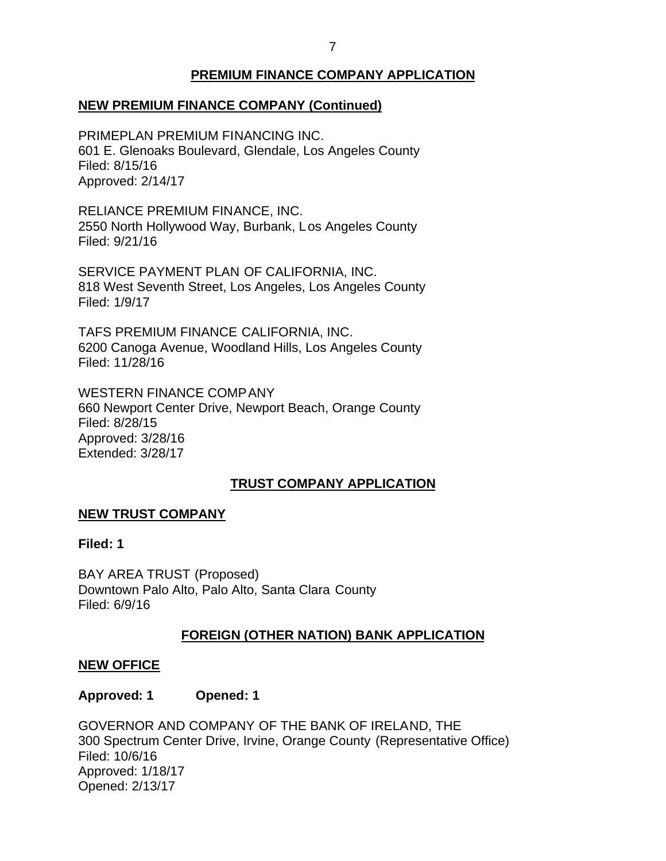## 7

## **PREMIUM FINANCE COMPANY APPLICATION**

# <span id="page-7-0"></span> **NEW PREMIUM FINANCE COMPANY (Continued)**

 601 E. Glenoaks Boulevard, Glendale, Los Angeles County PRIMEPLAN PREMIUM FINANCING INC. Filed: 8/15/16 Approved: 2/14/17

 RELIANCE PREMIUM FINANCE, INC. 2550 North Hollywood Way, Burbank, L os Angeles County Filed: 9/21/16

 SERVICE PAYMENT PLAN OF CALIFORNIA, INC. 818 West Seventh Street, Los Angeles, Los Angeles County Filed: 1/9/17

 TAFS PREMIUM FINANCE CALIFORNIA, INC. 6200 Canoga Avenue, Woodland Hills, Los Angeles County Filed: 11/28/16

 660 Newport Center Drive, Newport Beach, Orange County WESTERN FINANCE COMPANY Filed: 8/28/15 Approved: 3/28/16 Extended: 3/28/17

## **TRUST COMPANY APPLICATION**

#### **NEW TRUST COMPANY**

## **Filed: 1**

 BAY AREA TRUST (Proposed) Downtown Palo Alto, Palo Alto, Santa Clara County Filed: 6/9/16

#### **FOREIGN (OTHER NATION) BANK APPLICATION**

#### **NEW OFFICE**

#### **Approved: 1 Opened: 1**

 GOVERNOR AND COMPANY OF THE BANK OF IRELAND, THE 300 Spectrum Center Drive, Irvine, Orange County (Representative Office) Filed: 10/6/16 Approved: 1/18/17 Opened: 2/13/17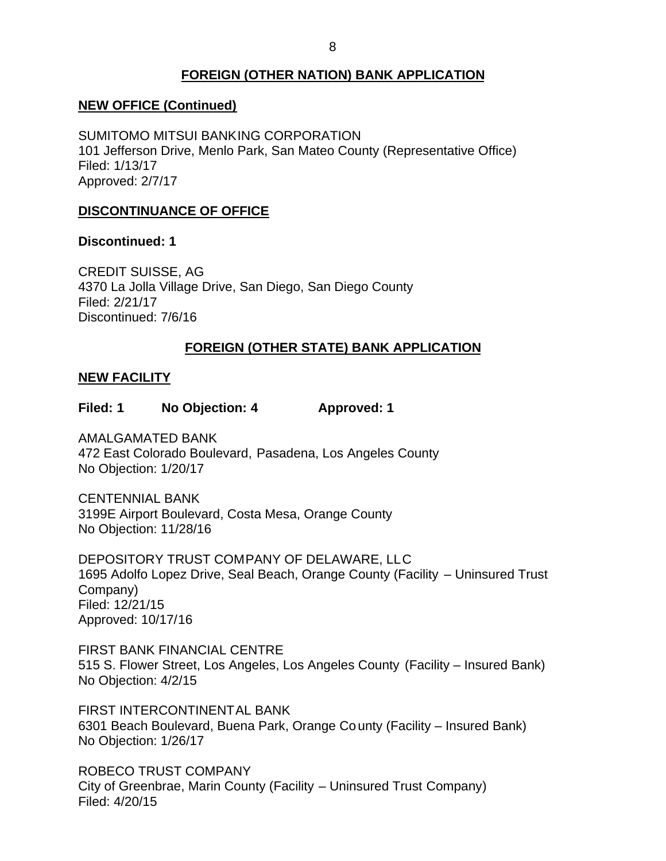# **FOREIGN (OTHER NATION) BANK APPLICATION**

# <span id="page-8-0"></span> **NEW OFFICE (Continued)**

 SUMITOMO MITSUI BANKING CORPORATION 101 Jefferson Drive, Menlo Park, San Mateo County (Representative Office) Filed: 1/13/17 Approved: 2/7/17

## **DISCONTINUANCE OF OFFICE**

**Discontinued: 1** 

 CREDIT SUISSE, AG 4370 La Jolla Village Drive, San Diego, San Diego County Filed: 2/21/17 Discontinued: 7/6/16

## **FOREIGN (OTHER STATE) BANK APPLICATION**

### **NEW FACILITY**

**Filed: 1 No Objection: 4 Approved: 1** 

 472 East Colorado Boulevard, Pasadena, Los Angeles County No Objection: 1/20/17 AMALGAMATED BANK

 3199E Airport Boulevard, Costa Mesa, Orange County No Objection: 11/28/16 CENTENNIAL BANK

 DEPOSITORY TRUST COMPANY OF DELAWARE, LLC 1695 Adolfo Lopez Drive, Seal Beach, Orange County (Facility – Uninsured Trust Company) Filed: 12/21/15 Approved: 10/17/16

 FIRST BANK FINANCIAL CENTRE 515 S. Flower Street, Los Angeles, Los Angeles County (Facility – Insured Bank) No Objection: 4/2/15

 6301 Beach Boulevard, Buena Park, Orange Co unty (Facility – Insured Bank) No Objection: 1/26/17 FIRST INTERCONTINENTAL BANK

 ROBECO TRUST COMPANY City of Greenbrae, Marin County (Facility – Uninsured Trust Company) Filed: 4/20/15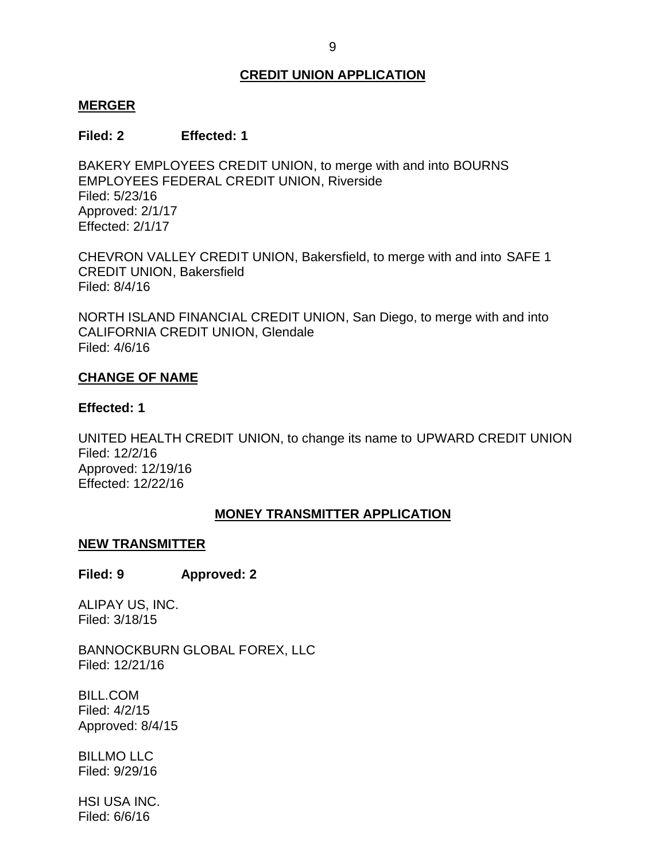# **CREDIT UNION APPLICATION**

## <span id="page-9-0"></span>**MERGER**

## **Filed: 2 Effected: 1**

 BAKERY EMPLOYEES CREDIT UNION, to merge with and into BOURNS EMPLOYEES FEDERAL CREDIT UNION, Riverside Filed: 5/23/16 Approved: 2/1/17 Effected: 2/1/17

 CHEVRON VALLEY CREDIT UNION, Bakersfield, to merge with and into SAFE 1 CREDIT UNION, Bakersfield Filed: 8/4/16

 NORTH ISLAND FINANCIAL CREDIT UNION, San Diego, to merge with and into CALIFORNIA CREDIT UNION, Glendale Filed: 4/6/16

## **CHANGE OF NAME**

### **Effected: 1**

 UNITED HEALTH CREDIT UNION, to change its name to UPWARD CREDIT UNION Filed: 12/2/16 Approved: 12/19/16 Effected: 12/22/16

## **MONEY TRANSMITTER APPLICATION**

#### **NEW TRANSMITTER**

#### **Filed: 9 Approved: 2**

 ALIPAY US, INC. Filed: 3/18/15

BANNOCKBURN GLOBAL FOREX, LLC Filed: 12/21/16

BILL.COM Filed: 4/2/15 Approved: 8/4/15

BILLMO LLC Filed: 9/29/16

HSI USA INC. Filed: 6/6/16